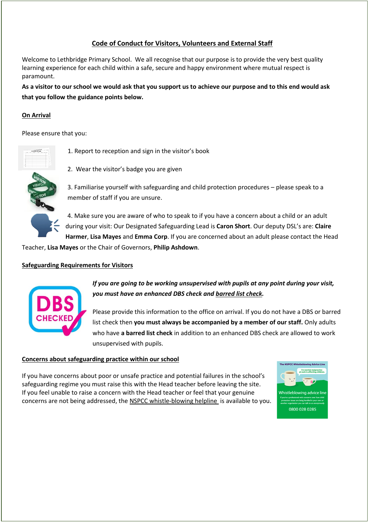# **Code of Conduct for Visitors, Volunteers and External Staff**

Welcome to Lethbridge Primary School. We all recognise that our purpose is to provide the very best quality learning experience for each child within a safe, secure and happy environment where mutual respect is paramount.

**As a visitor to our school we would ask that you support us to achieve our purpose and to this end would ask that you follow the guidance points below.**

### **On Arrival**

Please ensure that you:



1. Report to reception and sign in the visitor's book





3. Familiarise yourself with safeguarding and child protection procedures – please speak to a member of staff if you are unsure.

4. Make sure you are aware of who to speak to if you have a concern about a child or an adult during your visit: Our Designated Safeguarding Lead is **Caron Short**. Our deputy DSL's are: **Claire Harmer**, **Lisa Mayes** and **Emma Corp**. If you are concerned about an adult please contact the Head

Teacher, **Lisa Mayes** or the Chair of Governors, **Philip Ashdown**.

#### **Safeguarding Requirements for Visitors**



*If you are going to be working unsupervised with pupils at any point during your visit, you must have an enhanced DBS check and barred list check.*

Please provide this information to the office on arrival. If you do not have a DBS or barred list check then **you must always be accompanied by a member of our staff.** Only adults who have **a barred list check** in addition to an enhanced DBS check are allowed to work unsupervised with pupils.

#### **Concerns about safeguarding practice within our school**

If you have concerns about poor or unsafe practice and potential failures in the school's safeguarding regime you must raise this with the Head teacher before leaving the site. If you feel unable to raise a concern with the Head teacher or feel that your genuine concerns are not being addressed, the [NSPCC whistle-blowing helpline](https://www.nspcc.org.uk/fighting-for-childhood/news-opinion/new-whistleblowing-advice-line-professionals/) is available to you.

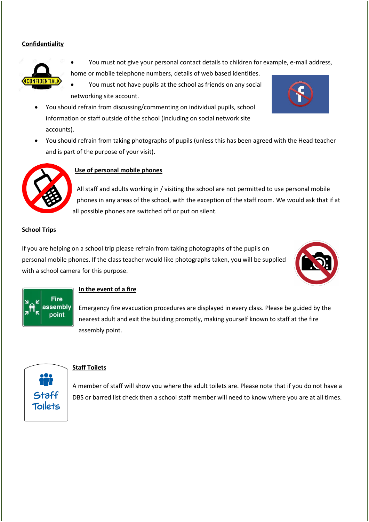#### **Confidentiality**



- You must not give your personal contact details to children for example, e-mail address, home or mobile telephone numbers, details of web based identities.
- You must not have pupils at the school as friends on any social networking site account.
- You should refrain from discussing/commenting on individual pupils, school information or staff outside of the school (including on social network site accounts).
- You should refrain from taking photographs of pupils (unless this has been agreed with the Head teacher and is part of the purpose of your visit).



### **Use of personal mobile phones**

All staff and adults working in / visiting the school are not permitted to use personal mobile phones in any areas of the school, with the exception of the staff room. We would ask that if at all possible phones are switched off or put on silent.

#### **School Trips**

If you are helping on a school trip please refrain from taking photographs of the pupils on personal mobile phones. If the class teacher would like photographs taken, you will be supplied with a school camera for this purpose.





#### **In the event of a fire**

Emergency fire evacuation procedures are displayed in every class. Please be guided by the nearest adult and exit the building promptly, making yourself known to staff at the fire assembly point.



## **Staff Toilets**

A member of staff will show you where the adult toilets are. Please note that if you do not have a DBS or barred list check then a school staff member will need to know where you are at all times.